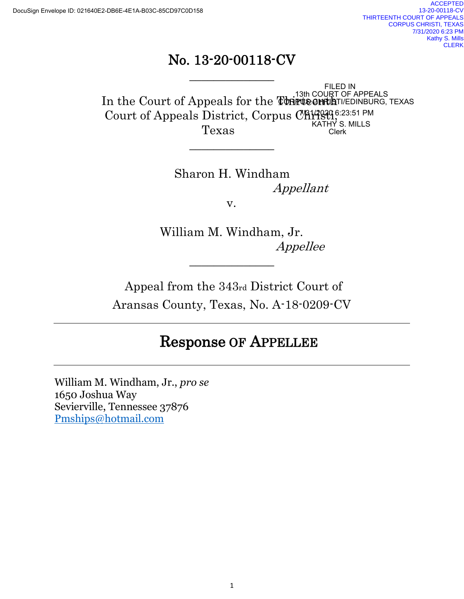# No. 13-20-00118-CV

\_\_\_\_\_\_\_\_\_\_\_\_\_\_

 $\overline{\phantom{a}}$  , where  $\overline{\phantom{a}}$ 

In the Court of Appeals for the Thirte entiat Court of Appeals District, Corpus Christi<sup>6:23:51 PM</sup><br>KATHY S. MILLS Texas FILED IN<br>13th COURT OF APPEALS<br>**CORPUS CHRIST**I/EDINBURG, TEXAS<br>US CHAY3200 6:23:51 PM<br>KATHY S. MILLS<br>Clerk

> Sharon H. Windham Appellant v.

William M. Windham, Jr. Appellee

Appeal from the 343rd District Court of Aransas County, Texas, No. A-18-0209-CV

 $\overline{\phantom{a}}$  , where  $\overline{\phantom{a}}$ 

# Response OF APPELLEE

William M. Windham, Jr., *pro se* 1650 Joshua Way Sevierville, Tennessee 37876 [Pmships@hotmail.com](mailto:Pmships@hotmail.com)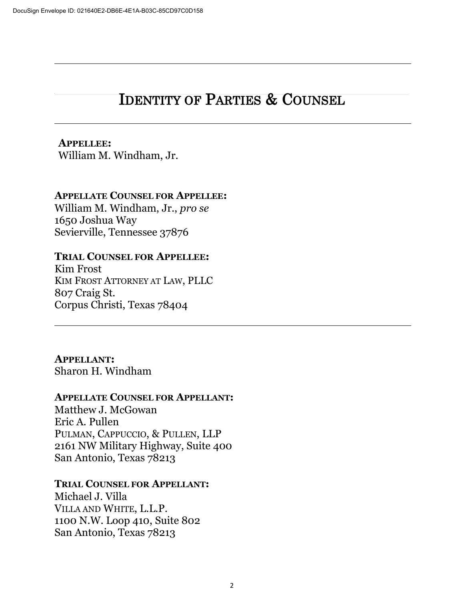# IDENTITY OF PARTIES & COUNSEL

# **APPELLEE:**

William M. Windham, Jr.

#### **APPELLATE COUNSEL FOR APPELLEE:**

William M. Windham, Jr., *pro se* 1650 Joshua Way Sevierville, Tennessee 37876

#### **TRIAL COUNSEL FOR APPELLEE:**

Kim Frost KIM FROST ATTORNEY AT LAW, PLLC 807 Craig St. Corpus Christi, Texas 78404

**APPELLANT:** Sharon H. Windham

#### **APPELLATE COUNSEL FOR APPELLANT:**

Matthew J. McGowan Eric A. Pullen PULMAN, CAPPUCCIO, & PULLEN, LLP 2161 NW Military Highway, Suite 400 San Antonio, Texas 78213

#### **TRIAL COUNSEL FOR APPELLANT:**

Michael J. Villa VILLA AND WHITE, L.L.P. 1100 N.W. Loop 410, Suite 802 San Antonio, Texas 78213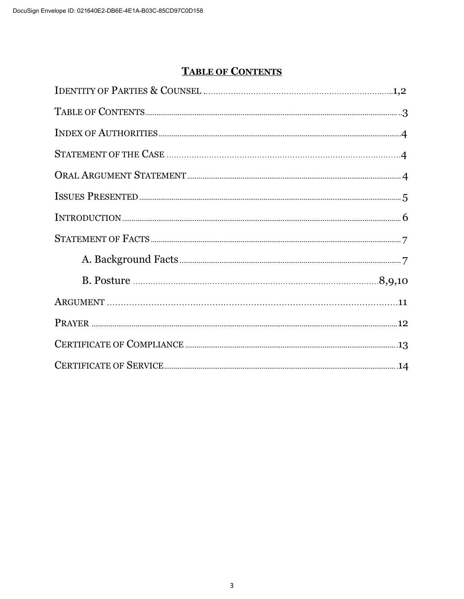# **TABLE OF CONTENTS**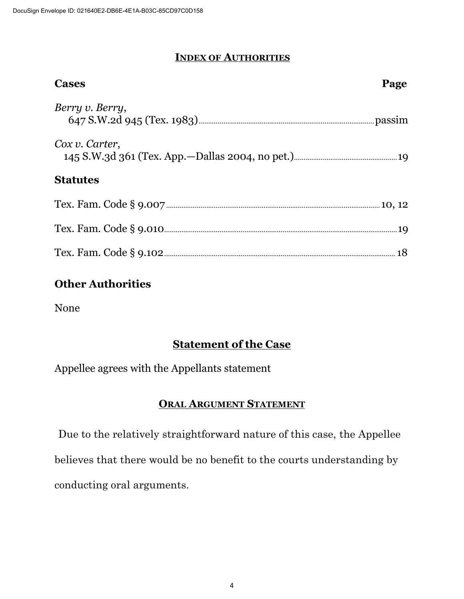## **INDEX OF AUTHORITIES**

| <b>Cases</b>    | Page |
|-----------------|------|
| Berry v. Berry, |      |
| Cox v. Carter,  |      |
| <b>Statutes</b> |      |
|                 |      |
|                 |      |
|                 |      |

# **Other Authorities**

None

# **Statement of the Case**

Appellee agrees with the Appellants statement

### **ORAL ARGUMENT STATEMENT**

 Due to the relatively straightforward nature of this case, the Appellee believes that there would be no benefit to the courts understanding by conducting oral arguments.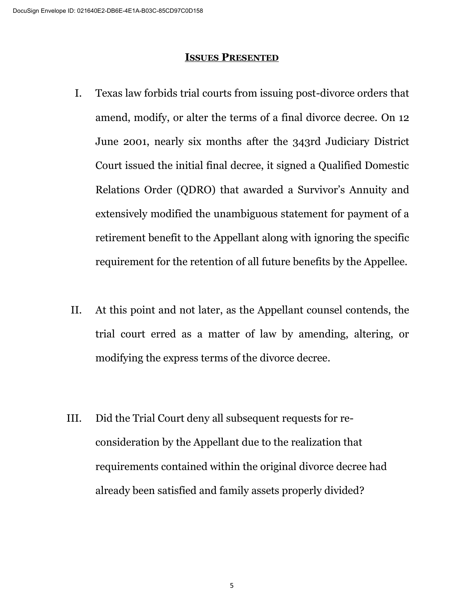#### **ISSUES PRESENTED**

- I. Texas law forbids trial courts from issuing post-divorce orders that amend, modify, or alter the terms of a final divorce decree. On 12 June 2001, nearly six months after the 343rd Judiciary District Court issued the initial final decree, it signed a Qualified Domestic Relations Order (QDRO) that awarded a Survivor's Annuity and extensively modified the unambiguous statement for payment of a retirement benefit to the Appellant along with ignoring the specific requirement for the retention of all future benefits by the Appellee.
- II. At this point and not later, as the Appellant counsel contends, the trial court erred as a matter of law by amending, altering, or modifying the express terms of the divorce decree.
- III. Did the Trial Court deny all subsequent requests for reconsideration by the Appellant due to the realization that requirements contained within the original divorce decree had already been satisfied and family assets properly divided?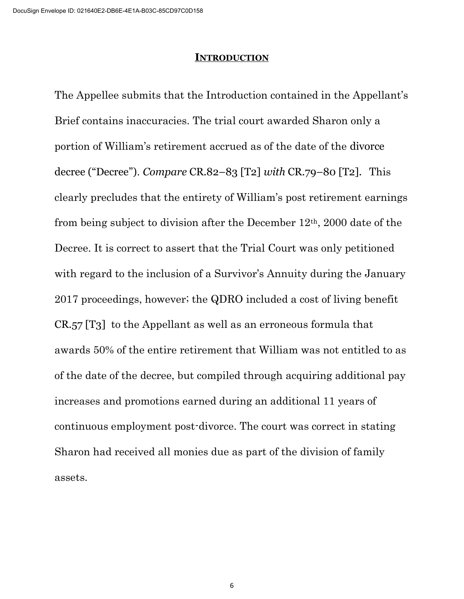#### **INTRODUCTION**

The Appellee submits that the Introduction contained in the Appellant's Brief contains inaccuracies. The trial court awarded Sharon only a portion of William's retirement accrued as of the date of the divorce decree ("Decree"). *Compare* CR.82–83 [T2] *with* CR.79–80 [T2]. This clearly precludes that the entirety of William's post retirement earnings from being subject to division after the December 12th, 2000 date of the Decree. It is correct to assert that the Trial Court was only petitioned with regard to the inclusion of a Survivor's Annuity during the January 2017 proceedings, however; the QDRO included a cost of living benefit CR.57 [T3] to the Appellant as well as an erroneous formula that awards 50% of the entire retirement that William was not entitled to as of the date of the decree, but compiled through acquiring additional pay increases and promotions earned during an additional 11 years of continuous employment post-divorce. The court was correct in stating Sharon had received all monies due as part of the division of family assets.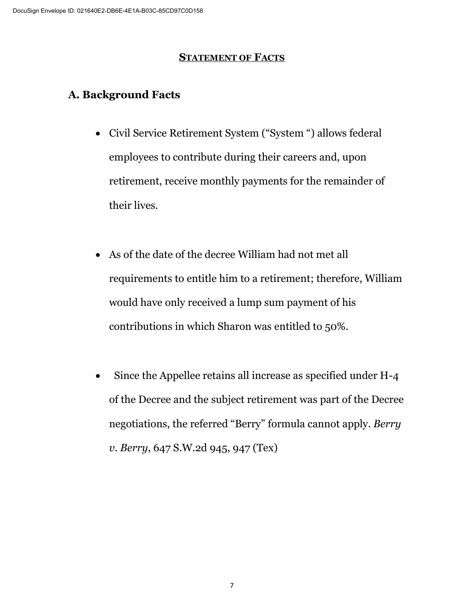### **STATEMENT OF FACTS**

# **A. Background Facts**

- Civil Service Retirement System ("System ") allows federal employees to contribute during their careers and, upon retirement, receive monthly payments for the remainder of their lives.
- As of the date of the decree William had not met all requirements to entitle him to a retirement; therefore, William would have only received a lump sum payment of his contributions in which Sharon was entitled to 50%.
- Since the Appellee retains all increase as specified under H-4 of the Decree and the subject retirement was part of the Decree negotiations, the referred "Berry" formula cannot apply. *Berry v. Berry*, 647 S.W.2d 945, 947 (Tex)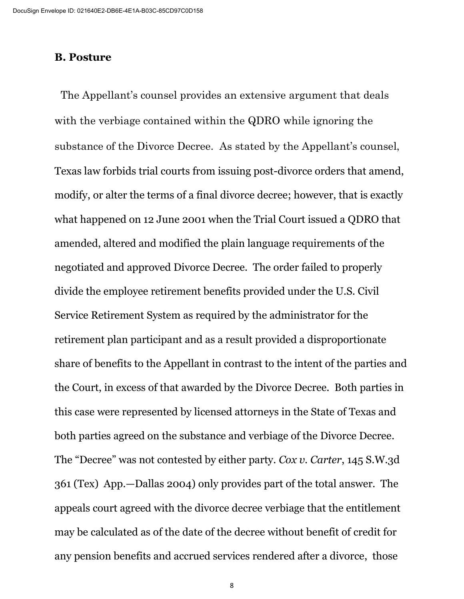#### **B. Posture**

 The Appellant's counsel provides an extensive argument that deals with the verbiage contained within the QDRO while ignoring the substance of the Divorce Decree. As stated by the Appellant's counsel, Texas law forbids trial courts from issuing post-divorce orders that amend, modify, or alter the terms of a final divorce decree; however, that is exactly what happened on 12 June 2001 when the Trial Court issued a QDRO that amended, altered and modified the plain language requirements of the negotiated and approved Divorce Decree. The order failed to properly divide the employee retirement benefits provided under the U.S. Civil Service Retirement System as required by the administrator for the retirement plan participant and as a result provided a disproportionate share of benefits to the Appellant in contrast to the intent of the parties and the Court, in excess of that awarded by the Divorce Decree. Both parties in this case were represented by licensed attorneys in the State of Texas and both parties agreed on the substance and verbiage of the Divorce Decree. The "Decree" was not contested by either party. *Cox v. Carter*, 145 S.W.3d 361 (Tex) App.—Dallas 2004) only provides part of the total answer. The appeals court agreed with the divorce decree verbiage that the entitlement may be calculated as of the date of the decree without benefit of credit for any pension benefits and accrued services rendered after a divorce, those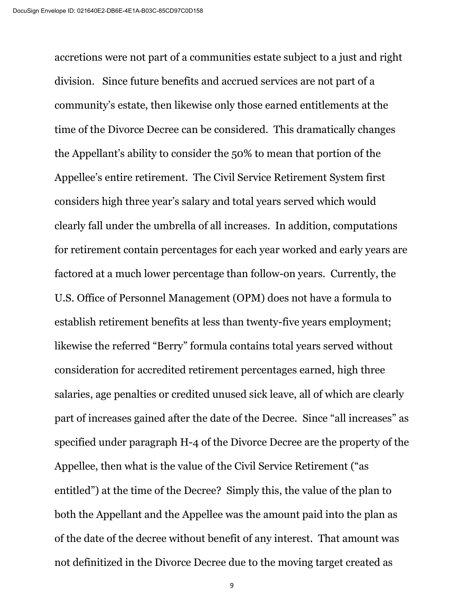accretions were not part of a communities estate subject to a just and right division. Since future benefits and accrued services are not part of a community's estate, then likewise only those earned entitlements at the time of the Divorce Decree can be considered. This dramatically changes the Appellant's ability to consider the 50% to mean that portion of the Appellee's entire retirement. The Civil Service Retirement System first considers high three year's salary and total years served which would clearly fall under the umbrella of all increases. In addition, computations for retirement contain percentages for each year worked and early years are factored at a much lower percentage than follow-on years. Currently, the U.S. Office of Personnel Management (OPM) does not have a formula to establish retirement benefits at less than twenty-five years employment; likewise the referred "Berry" formula contains total years served without consideration for accredited retirement percentages earned, high three salaries, age penalties or credited unused sick leave, all of which are clearly part of increases gained after the date of the Decree. Since "all increases" as specified under paragraph H-4 of the Divorce Decree are the property of the Appellee, then what is the value of the Civil Service Retirement ("as entitled") at the time of the Decree? Simply this, the value of the plan to both the Appellant and the Appellee was the amount paid into the plan as of the date of the decree without benefit of any interest. That amount was not definitized in the Divorce Decree due to the moving target created as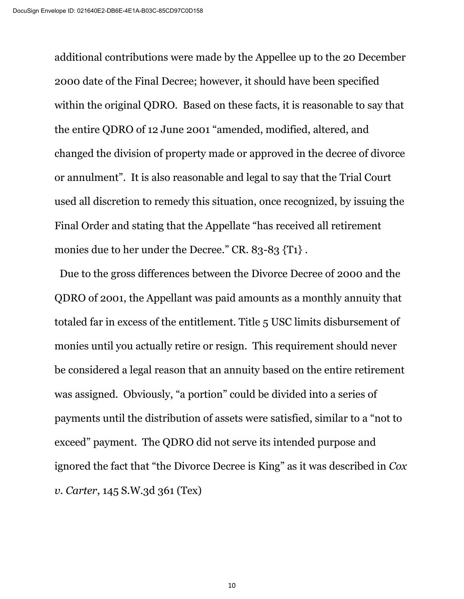additional contributions were made by the Appellee up to the 20 December 2000 date of the Final Decree; however, it should have been specified within the original QDRO. Based on these facts, it is reasonable to say that the entire QDRO of 12 June 2001 "amended, modified, altered, and changed the division of property made or approved in the decree of divorce or annulment". It is also reasonable and legal to say that the Trial Court used all discretion to remedy this situation, once recognized, by issuing the Final Order and stating that the Appellate "has received all retirement monies due to her under the Decree." CR. 83-83  $\{T1\}$ .

 Due to the gross differences between the Divorce Decree of 2000 and the QDRO of 2001, the Appellant was paid amounts as a monthly annuity that totaled far in excess of the entitlement. Title 5 USC limits disbursement of monies until you actually retire or resign. This requirement should never be considered a legal reason that an annuity based on the entire retirement was assigned. Obviously, "a portion" could be divided into a series of payments until the distribution of assets were satisfied, similar to a "not to exceed" payment. The QDRO did not serve its intended purpose and ignored the fact that "the Divorce Decree is King" as it was described in *Cox v. Carter*, 145 S.W.3d 361 (Tex)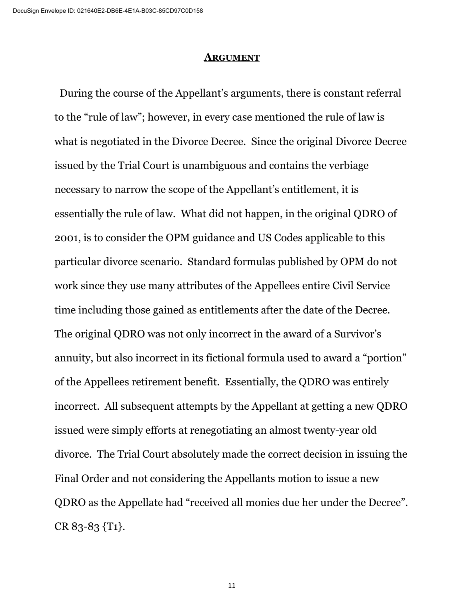#### **ARGUMENT**

 During the course of the Appellant's arguments, there is constant referral to the "rule of law"; however, in every case mentioned the rule of law is what is negotiated in the Divorce Decree. Since the original Divorce Decree issued by the Trial Court is unambiguous and contains the verbiage necessary to narrow the scope of the Appellant's entitlement, it is essentially the rule of law. What did not happen, in the original QDRO of 2001, is to consider the OPM guidance and US Codes applicable to this particular divorce scenario. Standard formulas published by OPM do not work since they use many attributes of the Appellees entire Civil Service time including those gained as entitlements after the date of the Decree. The original QDRO was not only incorrect in the award of a Survivor's annuity, but also incorrect in its fictional formula used to award a "portion" of the Appellees retirement benefit. Essentially, the QDRO was entirely incorrect. All subsequent attempts by the Appellant at getting a new QDRO issued were simply efforts at renegotiating an almost twenty-year old divorce. The Trial Court absolutely made the correct decision in issuing the Final Order and not considering the Appellants motion to issue a new QDRO as the Appellate had "received all monies due her under the Decree". CR 83-83 {T1}.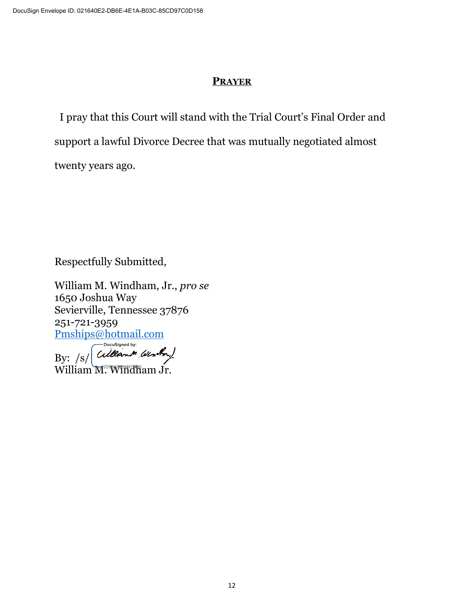## **PRAYER**

 I pray that this Court will stand with the Trial Court's Final Order and support a lawful Divorce Decree that was mutually negotiated almost twenty years ago.

Respectfully Submitted,

William M. Windham, Jr., *pro se* 1650 Joshua Way Sevierville, Tennessee 37876 251-721-3959 Pmships@hotmail.com

Cillanon Wenton) By:  $/s/$ 

William M<sup>2226</sup> Windham Jr.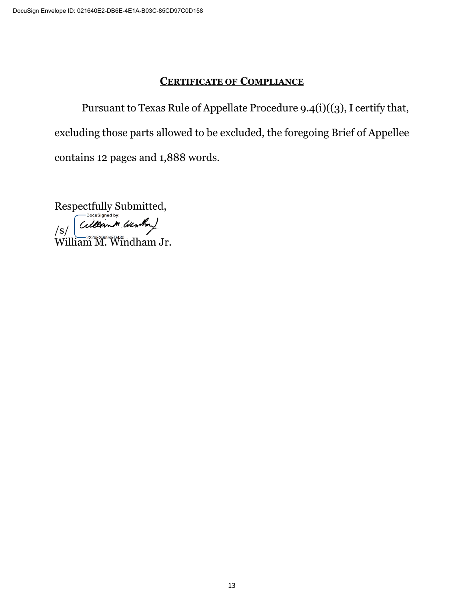#### **CERTIFICATE OF COMPLIANCE**

Pursuant to Texas Rule of Appellate Procedure 9.4(i)((3), I certify that, excluding those parts allowed to be excluded, the foregoing Brief of Appellee contains 12 pages and 1,888 words.

Respectfully Submitted, Cillant Window) /s/ William M. Windham Jr.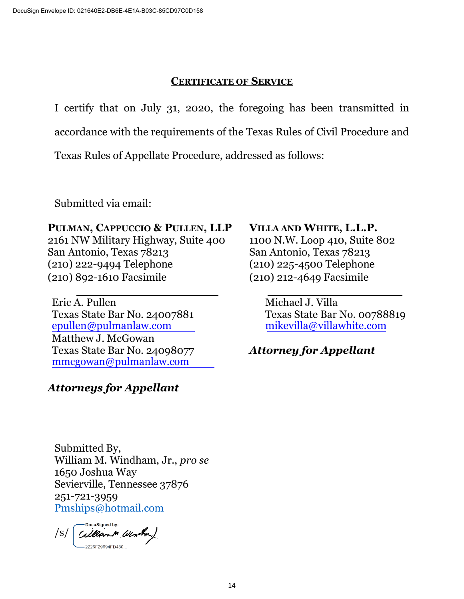### **CERTIFICATE OF SERVICE**

I certify that on July 31, 2020, the foregoing has been transmitted in

accordance with the requirements of the Texas Rules of Civil Procedure and

Texas Rules of Appellate Procedure, addressed as follows:

Submitted via email:

## **PULMAN, CAPPUCCIO & PULLEN, LLP VILLA AND WHITE, L.L.P.**

2161 NW Military Highway, Suite 400 1100 N.W. Loop 410, Suite 802 San Antonio, Texas 78213 San Antonio, Texas 78213 (210) 222-9494 Telephone (210) 225-4500 Telephone (210) 892-1610 Facsimile (210) 212-4649 Facsimile

Eric A. Pullen Michael J. Villa Texas State Bar No. 24007881 Texas State Bar No. 00788819 [epullen@pulmanlaw.com](mailto:epullen@pulmanlaw.com) [mikevilla@villawhite.com](mailto:mikevilla@villawhite.com) Matthew J. McGowan Texas State Bar No. 24098077 *Attorney for Appellant* [mmcgowan@pulmanlaw.com](mailto:mmcgowan@pulmanlaw.com)

# *Attorneys for Appellant*

Submitted By, William M. Windham, Jr., *pro se* 1650 Joshua Way Sevierville, Tennessee 37876 251-721-3959 [Pmships@hotmail.com](mailto:Pmships@hotmail.com) 

Cillant Window  $\sqrt{s/2}$ 2226F29694FD480